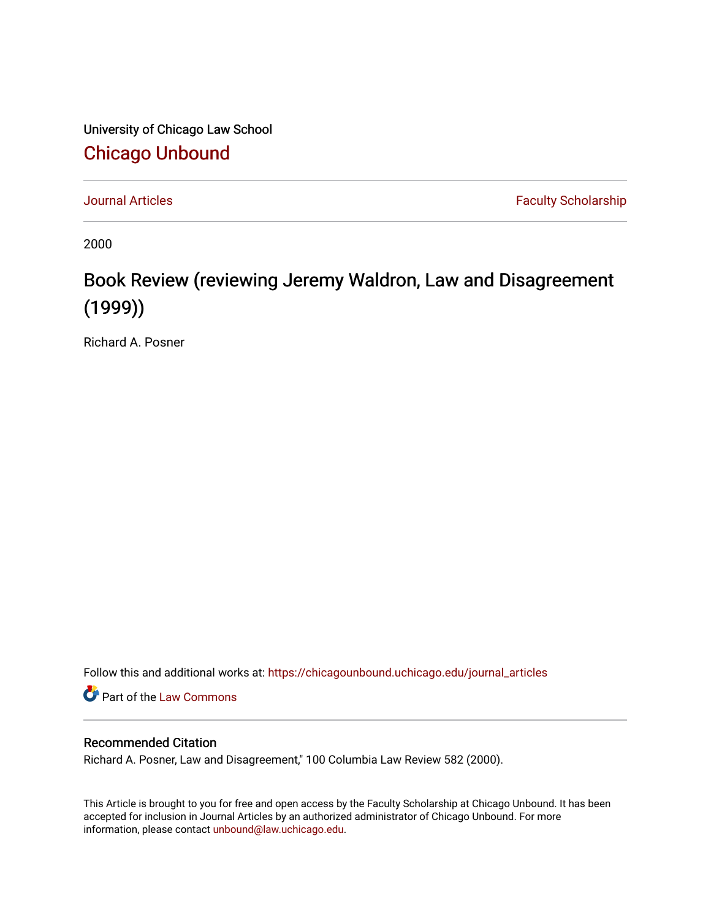University of Chicago Law School [Chicago Unbound](https://chicagounbound.uchicago.edu/)

[Journal Articles](https://chicagounbound.uchicago.edu/journal_articles) **Faculty Scholarship Faculty Scholarship** 

2000

## Book Review (reviewing Jeremy Waldron, Law and Disagreement (1999))

Richard A. Posner

Follow this and additional works at: [https://chicagounbound.uchicago.edu/journal\\_articles](https://chicagounbound.uchicago.edu/journal_articles?utm_source=chicagounbound.uchicago.edu%2Fjournal_articles%2F2817&utm_medium=PDF&utm_campaign=PDFCoverPages) 

**Part of the [Law Commons](http://network.bepress.com/hgg/discipline/578?utm_source=chicagounbound.uchicago.edu%2Fjournal_articles%2F2817&utm_medium=PDF&utm_campaign=PDFCoverPages)** 

## Recommended Citation

Richard A. Posner, Law and Disagreement," 100 Columbia Law Review 582 (2000).

This Article is brought to you for free and open access by the Faculty Scholarship at Chicago Unbound. It has been accepted for inclusion in Journal Articles by an authorized administrator of Chicago Unbound. For more information, please contact [unbound@law.uchicago.edu](mailto:unbound@law.uchicago.edu).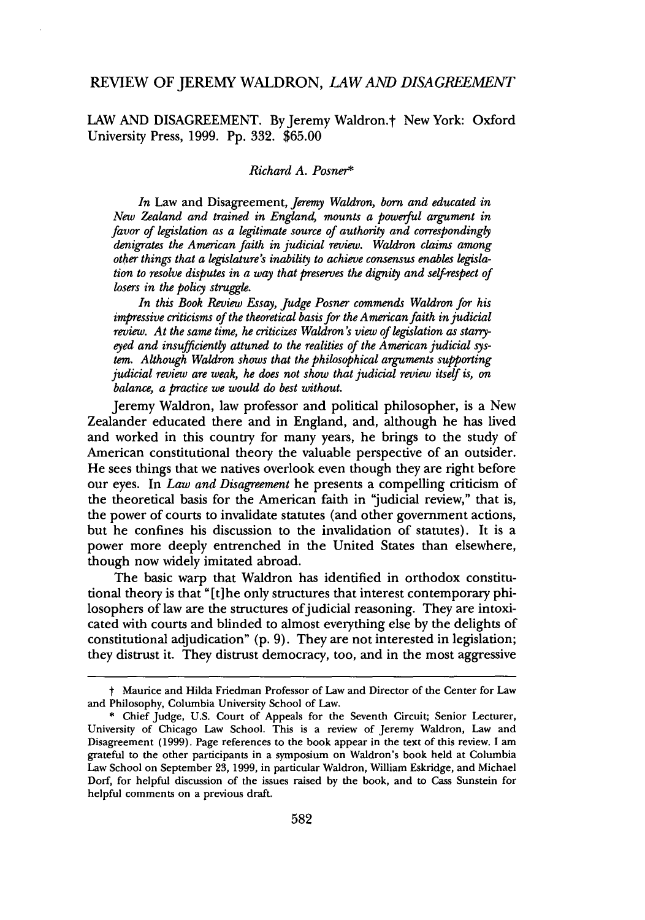## REVIEW OF JEREMY WALDRON, *LAW AND DISAGREEMENT*

LAW AND DISAGREEMENT. By Jeremy Waldron.<sup>†</sup> New York: Oxford University Press, 1999. Pp. 332. \$65.00

## *Richard A. Posner\**

*In* Law and Disagreement, *Jeremy Waldron, born and educated in New Zealand and trained in England, mounts a powerful argument in favor of legislation as a legitimate source of authority and correspondingly denigrates the American faith in judicial review. Waldron claims among other things that a legislature's inability to achieve consensus enables legislation to resolve disputes in a way that preserves the dignity and self-respect of losers in the policy struggle.*

*In this Book Review Essay, Judge Posner commends Waldron for his impressive criticisms of the theoretical basis for the American faith in judicial review. At the same time, he criticizes Waldron's view of legislation as starryeyed and insufficiently attuned to the realities of the American judicial system. Although Waldron shows that the philosophical arguments supporting judicial review are weak, he does not show that judicial review itself is, on balance, a practice we would do best without.*

Jeremy Waldron, law professor and political philosopher, is a New Zealander educated there and in England, and, although he has lived and worked in this country for many years, he brings to the study of American constitutional theory the valuable perspective of an outsider. He sees things that we natives overlook even though they are right before our eyes. In *Law and Disagreement* he presents a compelling criticism of the theoretical basis for the American faith in 'judicial review," that is, the power of courts to invalidate statutes (and other government actions, but he confines his discussion to the invalidation of statutes). It is a power more deeply entrenched in the United States than elsewhere, though now widely imitated abroad.

The basic warp that Waldron has identified in orthodox constitutional theory is that " $[t]$  he only structures that interest contemporary philosophers of law are the structures of judicial reasoning. They are intoxicated with courts and blinded to almost everything else by the delights of constitutional adjudication" (p. 9). They are not interested in legislation; they distrust it. They distrust democracy, too, and in the most aggressive

t Maurice and Hilda Friedman Professor of Law and Director of the Center for Law and Philosophy, Columbia University School of Law.

<sup>\*</sup> Chief Judge, U.S. Court of Appeals for the Seventh Circuit; Senior Lecturer, University of Chicago Law School. This is a review of Jeremy Waldron, Law and Disagreement (1999). Page references to the book appear in the text of this review. I am grateful to the other participants in a symposium on Waldron's book held at Columbia Law School on September 23, 1999, in particular Waldron, William Eskridge, and Michael Dorf, for helpful discussion of the issues raised by the book, and to Cass Sunstein for helpful comments on a previous draft.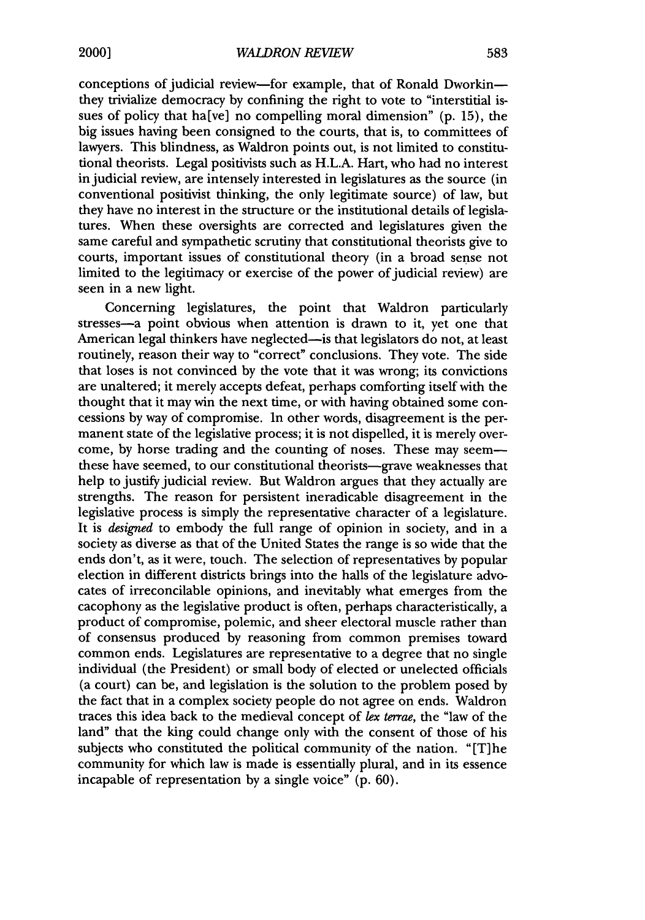conceptions of judicial review-for example, that of Ronald Dworkinthey trivialize democracy by confining the right to vote to "interstitial issues of policy that ha[ve] no compelling moral dimension" (p. 15), the big issues having been consigned to the courts, that is, to committees of lawyers. This blindness, as Waldron points out, is not limited to constitutional theorists. Legal positivists such as H.L.A. Hart, who had no interest in judicial review, are intensely interested in legislatures as the source (in conventional positivist thinking, the only legitimate source) of law, but they have no interest in the structure or the institutional details of legislatures. When these oversights are corrected and legislatures given the same careful and sympathetic scrutiny that constitutional theorists give to courts, important issues of constitutional theory (in a broad sense not limited to the legitimacy or exercise of the power of judicial review) are seen in a new light.

Concerning legislatures, the point that Waldron particularly stresses-a point obvious when attention is drawn to it, yet one that American legal thinkers have neglected—is that legislators do not, at least routinely, reason their way to "correct" conclusions. They vote. The side that loses is not convinced by the vote that it was wrong; its convictions are unaltered; it merely accepts defeat, perhaps comforting itself with the thought that it may win the next time, or with having obtained some concessions by way of compromise. In other words, disagreement is the permanent state of the legislative process; it is not dispelled, it is merely overcome, by horse trading and the counting of noses. These may seemthese have seemed, to our constitutional theorists—grave weaknesses that help to justify judicial review. But Waldron argues that they actually are strengths. The reason for persistent ineradicable disagreement in the legislative process is simply the representative character of a legislature. It is *designed* to embody the full range of opinion in society, and in a society as diverse as that of the United States the range is so wide that the ends don't, as it were, touch. The selection of representatives by popular election in different districts brings into the halls of the legislature advocates of irreconcilable opinions, and inevitably what emerges from the cacophony as the legislative product is often, perhaps characteristically, a product of compromise, polemic, and sheer electoral muscle rather than of consensus produced by reasoning from common premises toward common ends. Legislatures are representative to a degree that no single individual (the President) or small body of elected or unelected officials (a court) can be, and legislation is the solution to the problem posed by the fact that in a complex society people do not agree on ends. Waldron traces this idea back to the medieval concept of *lex terrae,* the "law of the land" that the king could change only with the consent of those of his subjects who constituted the political community of the nation. "[T]he community for which law is made is essentially plural, and in its essence incapable of representation by a single voice" (p. 60).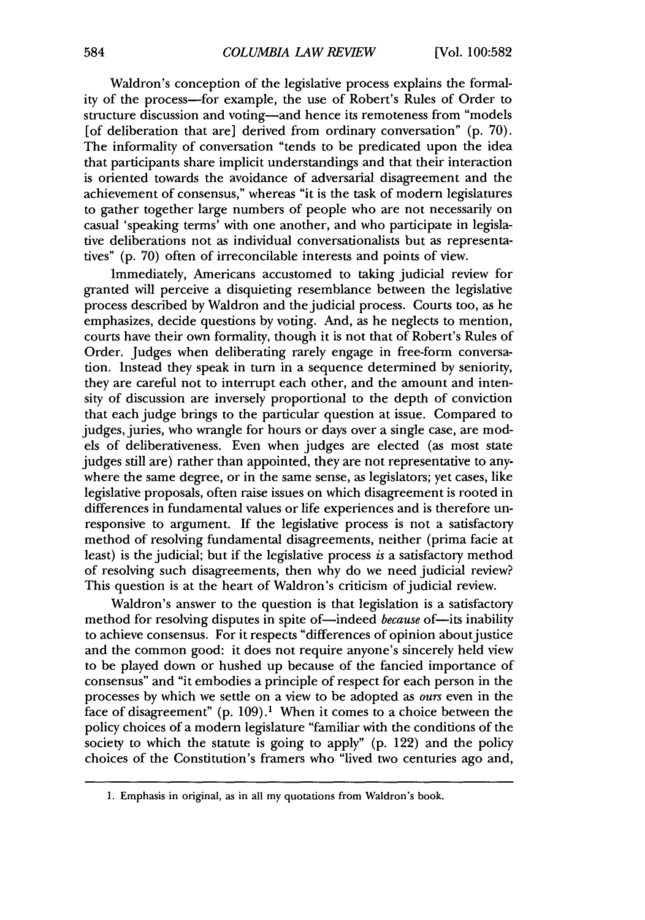Waldron's conception of the legislative process explains the formality of the process-for example, the use of Robert's Rules of Order to structure discussion and voting-and hence its remoteness from "models [of deliberation that are] derived from ordinary conversation" (p. 70). The informality of conversation "tends to be predicated upon the idea that participants share implicit understandings and that their interaction is oriented towards the avoidance of adversarial disagreement and the achievement of consensus," whereas "it is the task of modem legislatures to gather together large numbers of people who are not necessarily on casual 'speaking terms' with one another, and who participate in legislative deliberations not as individual conversationalists but as representatives" (p. 70) often of irreconcilable interests and points of view.

Immediately, Americans accustomed to taking judicial review for granted will perceive a disquieting resemblance between the legislative process described by Waldron and the judicial process. Courts too, as he emphasizes, decide questions by voting. And, as he neglects to mention, courts have their own formality, though it is not that of Robert's Rules of Order. Judges when deliberating rarely engage in free-form conversation. Instead they speak in turn in a sequence determined by seniority, they are careful not to interrupt each other, and the amount and intensity of discussion are inversely proportional to the depth of conviction that each judge brings to the particular question at issue. Compared to judges, juries, who wrangle for hours or days over a single case, are models of deliberativeness. Even when judges are elected (as most state judges still are) rather than appointed, they are not representative to anywhere the same degree, or in the same sense, as legislators; yet cases, like legislative proposals, often raise issues on which disagreement is rooted in differences in fundamental values or life experiences and is therefore unresponsive to argument. **If** the legislative process is not a satisfactory method of resolving fundamental disagreements, neither (prima facie at least) is the judicial; but if the legislative process *is* a satisfactory method of resolving such disagreements, then why do we need judicial review? This question is at the heart of Waldron's criticism of judicial review.

Waldron's answer to the question is that legislation is a satisfactory method for resolving disputes in spite of—indeed *because* of—its inability to achieve consensus. For it respects "differences of opinion about justice and the common good: it does not require anyone's sincerely held view to be played down or hushed up because of the fancied importance of consensus" and "it embodies a principle of respect for each person in the processes by which we settle on a view to be adopted as *ours* even in the face of disagreement"  $(p. 109)$ .<sup>1</sup> When it comes to a choice between the policy choices of a modern legislature "familiar with the conditions of the society to which the statute is going to apply" (p. 122) and the policy choices of the Constitution's framers who "lived two centuries ago and,

<sup>1.</sup> Emphasis in original, as in all my quotations from Waldron's book.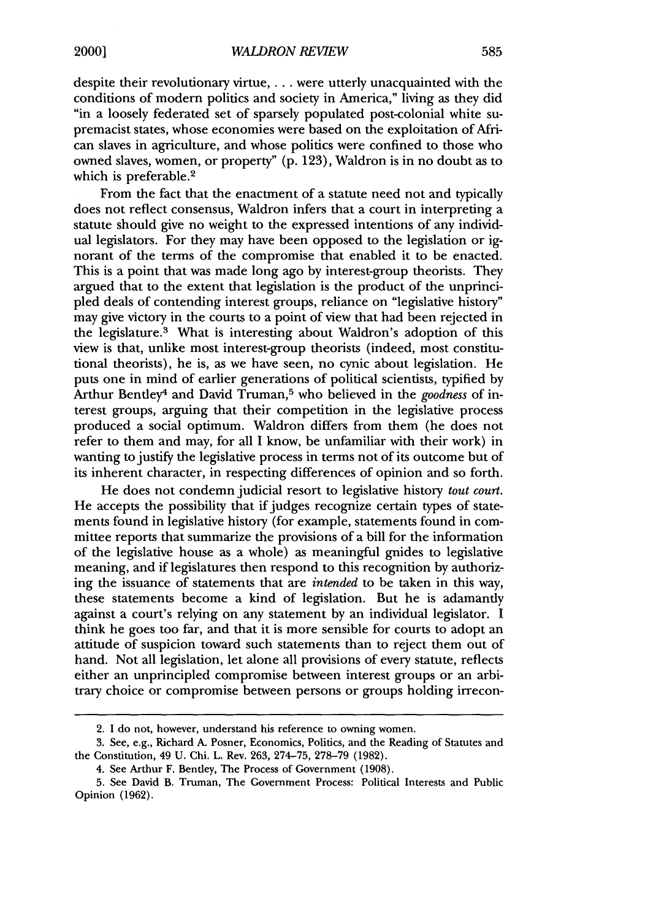despite their revolutionary virtue, . **.** . were utterly unacquainted with the conditions of modern politics and society in America," living as they did "in a loosely federated set of sparsely populated post-colonial white supremacist states, whose economies were based on the exploitation of African slaves in agriculture, and whose politics were confined to those who owned slaves, women, or property" (p. 123), Waldron is in no doubt as to which is preferable.<sup>2</sup>

From the fact that the enactment of a statute need not and typically does not reflect consensus, Waldron infers that a court in interpreting a statute should give no weight to the expressed intentions of any individual legislators. For they may have been opposed to the legislation or ignorant of the terms of the compromise that enabled it to be enacted. This is a point that was made long ago by interest-group theorists. They argued that to the extent that legislation is the product of the unprincipled deals of contending interest groups, reliance on "legislative history" may give victory in the courts to a point of view that had been rejected in the legislature.3 What is interesting about Waldron's adoption of this view is that, unlike most interest-group theorists (indeed, most constitutional theorists), he is, as we have seen, no cynic about legislation. He puts one in mind of earlier generations of political scientists, typified by Arthur Bentley4 and David Truman,5 who believed in the *goodness* of interest groups, arguing that their competition in the legislative process produced a social optimum. Waldron differs from them (he does not refer to them and may, for all I know, be unfamiliar with their work) in wanting to justify the legislative process in terms not of its outcome but of its inherent character, in respecting differences of opinion and so forth.

He does not condemn judicial resort to legislative history *tout court.* He accepts the possibility that if judges recognize certain types of statements found in legislative history (for example, statements found in committee reports that summarize the provisions of a bill for the information of the legislative house as a whole) as meaningful gnides to legislative meaning, and if legislatures then respond to this recognition by authorizing the issuance of statements that are *intended* to be taken in this way, these statements become a kind of legislation. But he is adamantly against a court's relying on any statement by an individual legislator. I think he goes too far, and that it is more sensible for courts to adopt an attitude of suspicion toward such statements than to reject them out of hand. Not all legislation, let alone all provisions of every statute, reflects either an unprincipled compromise between interest groups or an arbitrary choice or compromise between persons or groups holding irrecon-

<sup>2.</sup> I do not, however, understand his reference to owning women.

<sup>3.</sup> See, e.g., Richard A. Posner, Economics, Politics, and the Reading of Statutes and the Constitution, 49 U. Chi. L. Rev. 263, 274-75, 278-79 (1982).

<sup>4.</sup> See Arthur F. Bentley, The Process of Government (1908).

<sup>5.</sup> See David B. Truman, The Government Process: Political Interests and Public Opinion (1962).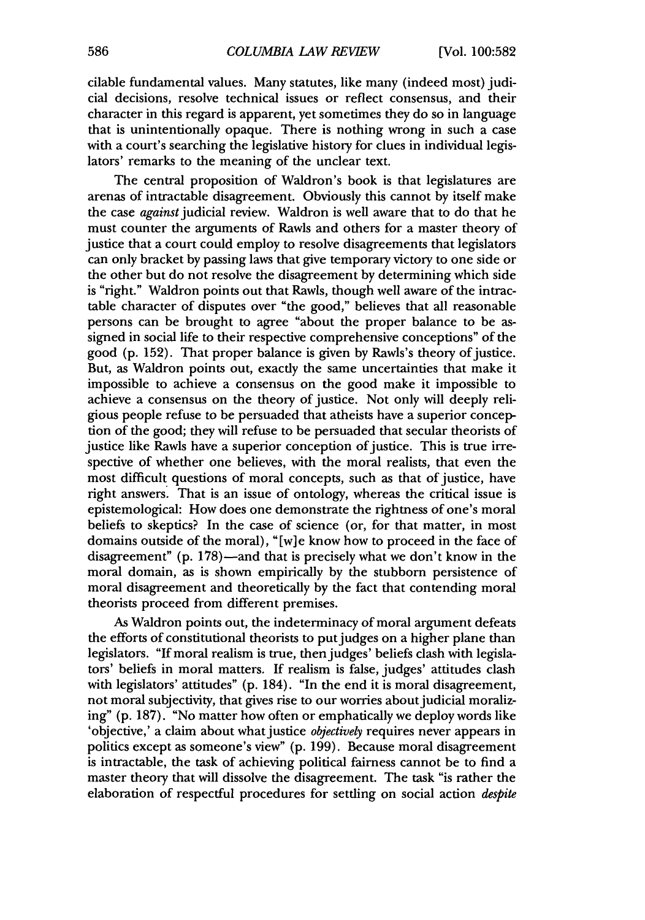cilable fundamental values. Many statutes, like many (indeed most) judicial decisions, resolve technical issues or reflect consensus, and their character in this regard is apparent, yet sometimes they do so in language that is unintentionally opaque. There is nothing wrong in such a case with a court's searching the legislative history for clues in individual legislators' remarks to the meaning of the unclear text.

The central proposition of Waldron's book is that legislatures are arenas of intractable disagreement. Obviously this cannot by itself make the case against judicial review. Waldron is well aware that to do that he must counter the arguments of Rawls and others for a master theory of justice that a court could employ to resolve disagreements that legislators can only bracket by passing laws that give temporary victory to one side or the other but do not resolve the disagreement by determining which side is "right." Waldron points out that Rawls, though well aware of the intractable character of disputes over "the good," believes that all reasonable persons can be brought to agree "about the proper balance to be assigned in social life to their respective comprehensive conceptions" of the good  $(p. 152)$ . That proper balance is given by Rawls's theory of justice. But, as Waldron points out, exactly the same uncertainties that make it impossible to achieve a consensus on the good make it impossible to achieve a consensus on the theory of justice. Not only will deeply religious people refuse to be persuaded that atheists have a superior conception of the good; they will refuse to be persuaded that secular theorists of justice like Rawls have a superior conception of justice. This is true irrespective of whether one believes, with the moral realists, that even the most difficult questions of moral concepts, such as that of justice, have right answers. That is an issue of ontology, whereas the critical issue is epistemological: How does one demonstrate the rightness of one's moral beliefs to skeptics? In the case of science (or, for that matter, in most domains outside of the moral), "[w]e know how to proceed in the face of disagreement" (p. 178)—and that is precisely what we don't know in the moral domain, as is shown empirically by the stubborn persistence of moral disagreement and theoretically by the fact that contending moral theorists proceed from different premises.

As Waldron points out, the indeterminacy of moral argument defeats the efforts of constitutional theorists to put judges on a higher plane than legislators. "If moral realism is true, then judges' beliefs clash with legislators' beliefs in moral matters. If realism is false, judges' attitudes clash with legislators' attitudes" (p. 184). "In the end it is moral disagreement, not moral subjectivity, that gives rise to our worries about judicial moralizing" (p. 187). "No matter how often or emphatically we deploy words like 'objective,' a claim about what justice *objectively* requires never appears in politics except as someone's view" (p. 199). Because moral disagreement is intractable, the task of achieving political fairness cannot be to find a master theory that will dissolve the disagreement. The task "is rather the elaboration of respectful procedures for settling on social action *despite*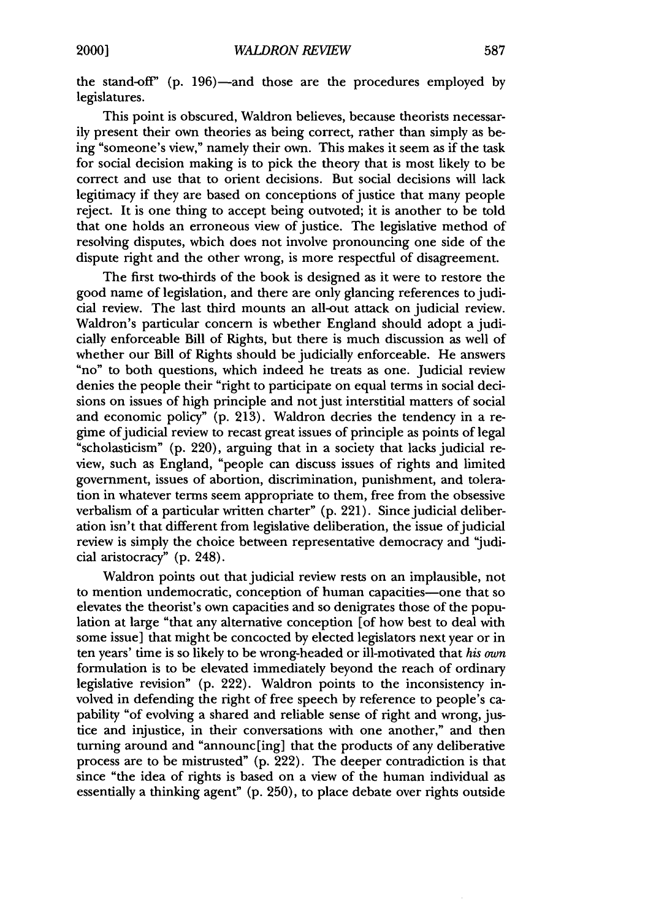the stand-off"  $(p. 196)$ —and those are the procedures employed by legislatures.

This point is obscured, Waldron believes, because theorists necessarily present their own theories as being correct, rather than simply as being "someone's view," namely their own. This makes it seem as if the task for social decision making is to pick the theory that is most likely to be correct and use that to orient decisions. But social decisions will lack legitimacy if they are based on conceptions of justice that many people reject. It is one thing to accept being outvoted; it is another to be told that one holds an erroneous view of justice. The legislative method of resolving disputes, which does not involve pronouncing one side of the dispute right and the other wrong, is more respectful of disagreement.

The first two-thirds of the book is designed as it were to restore the good name of legislation, and there are only glancing references to judicial review. The last third mounts an all-out attack on judicial review. Waldron's particular concern is whether England should adopt a judicially enforceable Bill of Rights, but there is much discussion as well of whether our Bill of Rights should be judicially enforceable. He answers "no" to both questions, which indeed he treats as one. Judicial review denies the people their "right to participate on equal terms in social decisions on issues of high principle and not just interstitial matters of social and economic policy" **(p. 213).** Waldron decries the tendency in a regime ofjudicial review to recast great issues of principle as points of legal "scholasticism" **(p.** 220), arguing that in a society that lacks judicial review, such as England, "people can discuss issues of rights and limited government, issues of abortion, discrimination, punishment, and toleration in whatever terms seem appropriate to them, free from the obsessive verbalism of a particular written charter" **(p.** 221). Since judicial deliberation isn't that different from legislative deliberation, the issue of judicial review is simply the choice between representative democracy and "judicial aristocracy" **(p.** 248).

Waldron points out that judicial review rests on an implausible, not to mention undemocratic, conception of human capacities-one that so elevates the theorist's own capacities and so denigrates those of the population at large "that any alternative conception [of how best to deal with some issue] that might be concocted **by** elected legislators next year or in ten years' time is so likely to be wrong-headed or ill-motivated that *his own* formulation is to be elevated immediately beyond the reach of ordinary legislative revision" **(p.** 222). Waldron points to the inconsistency involved in defending the right of free speech **by** reference to people's capability "of evolving a shared and reliable sense of right and wrong, justice and injustice, in their conversations with one another," and then turning around and "announc[ing] that the products of any deliberative process are to be mistrusted" **(p.** 222). The deeper contradiction is that since "the idea of rights is based on a view of the human individual as essentially a thinking agent" **(p. 250),** to place debate over rights outside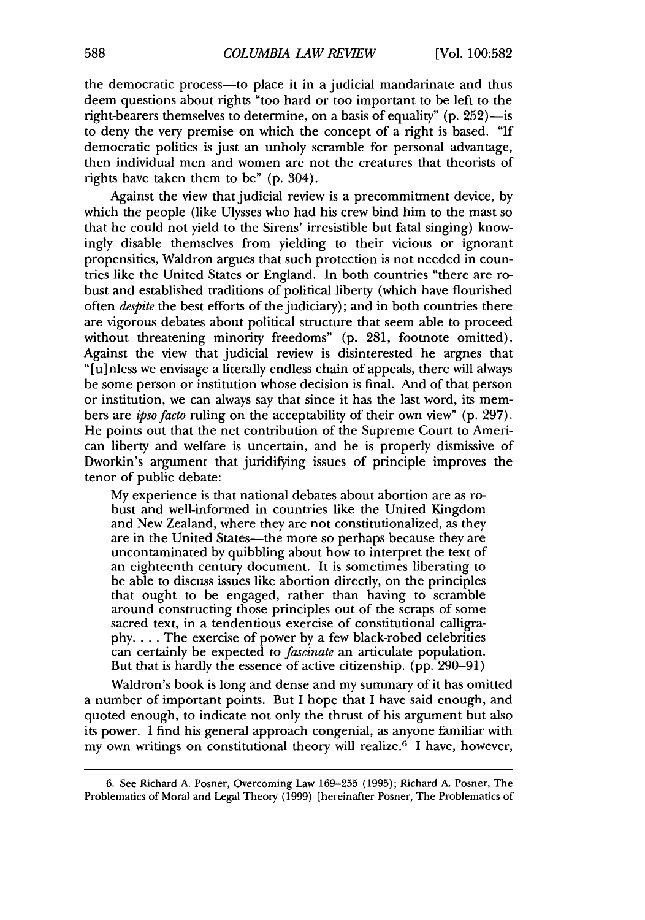the democratic process—to place it in a judicial mandarinate and thus deem questions about rights "too hard or too important to be left to the right-bearers themselves to determine, on a basis of equality" (p. 252)-is to deny the very premise on which the concept of a right is based. "If democratic politics is just an unholy scramble for personal advantage, then individual men and women are not the creatures that theorists of rights have taken them to be" (p. 304).

Against the view that judicial review is a precommitment device, by which the people (like Ulysses who had his crew bind him to the mast so that he could not yield to the Sirens' irresistible but fatal singing) knowingly disable themselves from yielding to their vicious or ignorant propensities, Waldron argues that such protection is not needed in countries like the United States or England. In both countries "there are robust and established traditions of political liberty (which have flourished often *despite* the best efforts of the judiciary); and in both countries there are vigorous debates about political structure that seem able to proceed without threatening minority freedoms" (p. 281, footnote omitted). Against the view that judicial review is disinterested he argnes that "[u] nless we envisage a literally endless chain of appeals, there will always be some person or institution whose decision is final. And of that person or institution, we can always say that since it has the last word, its members are *ipsofacto* ruling on the acceptability of their own view" (p. 297). He points out that the net contribution of the Supreme Court to American liberty and welfare is uncertain, and he is properly dismissive of Dworkin's argument that juridifying issues of principle improves the tenor of public debate:

My experience is that national debates about abortion are as robust and well-informed in countries like the United Kingdom and New Zealand, where they are not constitutionalized, as they are in the United States-the more so perhaps because they are uncontaminated by quibbling about how to interpret the text of an eighteenth century document. It is sometimes liberating to be able to discuss issues like abortion directly, on the principles that ought to be engaged, rather than having to scramble around constructing those principles out of the scraps of some sacred text, in a tendentious exercise of constitutional calligraphy. . . . The exercise of power by a few black-robed celebrities can certainly be expected to *fascinate* an articulate population. But that is hardly the essence of active citizenship. (pp. 290-91)

Waldron's book is long and dense and my summary of it has omitted a number of important points. But I hope that I have said enough, and quoted enough, to indicate not only the thrust of his argument but also its power. I find his general approach congenial, as anyone familiar with my own writings on constitutional theory will realize.6 I have, however,

<sup>6.</sup> See Richard A. Posner, Overcoming Law 169-255 (1995); Richard A. Posner, The Problematics of Moral and Legal Theory (1999) [hereinafter Posner, The Problematics of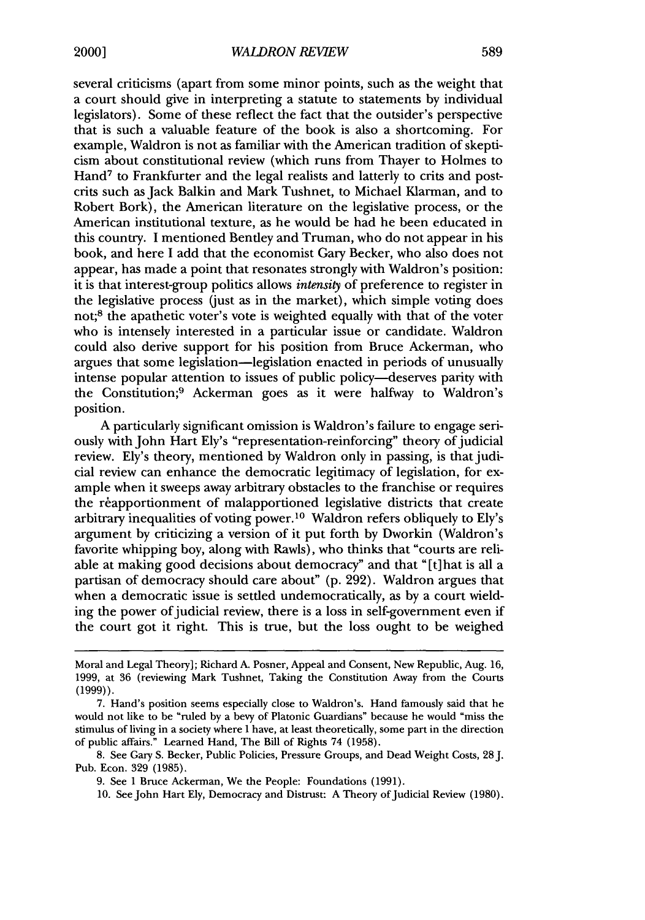several criticisms (apart from some minor points, such as the weight that a court should give in interpreting a statute to statements by individual legislators). Some of these reflect the fact that the outsider's perspective that is such a valuable feature of the book is also a shortcoming. For example, Waldron is not as familiar with the American tradition of skepticism about constitutional review (which runs from Thayer to Holmes to Hand<sup>7</sup> to Frankfurter and the legal realists and latterly to crits and postcrits such as Jack Balkin and Mark Tushnet, to Michael Klarman, and to Robert Bork), the American literature on the legislative process, or the American institutional texture, as he would be had he been educated in this country. I mentioned Bentley and Truman, who do not appear in his book, and here I add that the economist Gary Becker, who also does not appear, has made a point that resonates strongly with Waldron's position: it is that interest-group politics allows *intensity* of preference to register in the legislative process (just as in the market), which simple voting does not;<sup>8</sup> the apathetic voter's vote is weighted equally with that of the voter who is intensely interested in a particular issue or candidate. Waldron could also derive support for his position from Bruce Ackerman, who argues that some legislation-legislation enacted in periods of unusually intense popular attention to issues of public policy—deserves parity with the Constitution;9 Ackerman goes as it were halfway to Waldron's position.

A particularly significant omission is Waldron's failure to engage seriously with John Hart Ely's "representation-reinforcing" theory of judicial review. Ely's theory, mentioned by Waldron only in passing, is that judicial review can enhance the democratic legitimacy of legislation, for example when it sweeps away arbitrary obstacles to the franchise or requires the reapportionment of malapportioned legislative districts that create arbitrary inequalities of voting power.10 Waldron refers obliquely to Ely's argument by criticizing a version of it put forth by Dworkin (Waldron's favorite whipping boy, along with Rawls), who thinks that "courts are reliable at making good decisions about democracy" and that " [t]hat is all a partisan of democracy should care about" (p. 292). Waldron argues that when a democratic issue is settled undemocratically, as by a court wielding the power of judicial review, there is a loss in self-government even if the court got it right. This is true, but the loss ought to be weighed

10. See John Hart Ely, Democracy and Distrust: A Theory of Judicial Review (1980).

Moral and Legal Theory]; Richard A. Posner, Appeal and Consent, New Republic, Aug. 16, 1999, at 36 (reviewing Mark Tushnet, Taking the Constitution Away from the Courts (1999)).

<sup>7.</sup> Hand's position seems especially close to Waldron's. Hand famously said that he would not like to be "ruled by a bevy of Platonic Guardians" because he would "miss the stimulus of living in a society where I have, at least theoretically, some part in the direction of public affairs." Learned Hand, The Bill of Rights 74 (1958).

<sup>8.</sup> See Gary S. Becker, Public Policies, Pressure Groups, and Dead Weight Costs, 28 J. Pub. Econ. 329 (1985).

<sup>9.</sup> See 1 Bruce Ackerman, We the People: Foundations (1991).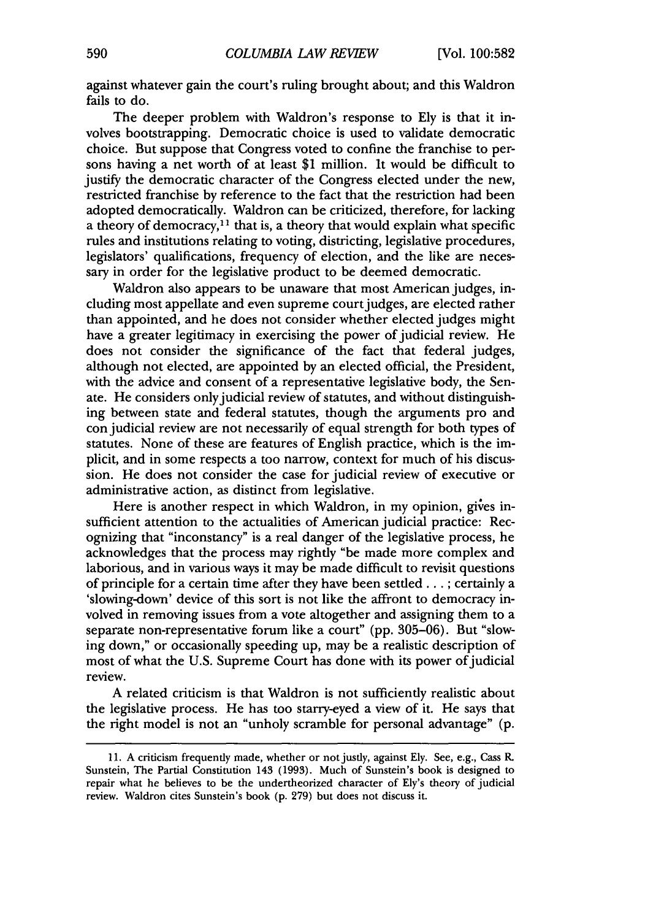against whatever gain the court's ruling brought about; and this Waldron fails to do.

The deeper problem with Waldron's response to Ely is that it involves bootstrapping. Democratic choice is used to validate democratic choice. But suppose that Congress voted to confine the franchise to persons having a net worth of at least **\$1** million. It would be difficult to justify the democratic character of the Congress elected under the new, restricted franchise by reference to the fact that the restriction had been adopted democratically. Waldron can be criticized, therefore, for lacking a theory of democracy,<sup>11</sup> that is, a theory that would explain what specific rules and institutions relating to voting, districting, legislative procedures, legislators' qualifications, frequency of election, and the like are necessary in order for the legislative product to be deemed democratic.

Waldron also appears to be unaware that most American judges, including most appellate and even supreme court judges, are elected rather than appointed, and he does not consider whether elected judges might have a greater legitimacy in exercising the power of judicial review. He does not consider the significance of the fact that federal judges, although not elected, are appointed by an elected official, the President, with the advice and consent of a representative legislative body, the Senate. He considers only judicial review of statutes, and without distinguishing between state and federal statutes, though the arguments pro and con judicial review are not necessarily of equal strength for both types of statutes. None of these are features of English practice, which is the implicit, and in some respects a too narrow, context for much of his discussion. He does not consider the case for judicial review of executive or administrative action, as distinct from legislative.

Here is another respect in which Waldron, in my opinion, gives insufficient attention to the actualities of American judicial practice: Recognizing that "inconstancy" is a real danger of the legislative process, he acknowledges that the process may rightly "be made more complex and laborious, and in various ways it may be made difficult to revisit questions of principle for a certain time after they have been settled... ; certainly a 'slowing-down' device of this sort is not like the affront to democracy involved in removing issues from a vote altogether and assigning them to a separate non-representative forum like a court" (pp. 305-06). But "slowing down," or occasionally speeding up, may be a realistic description of most of what the U.S. Supreme Court has done with its power of judicial review.

A related criticism is that Waldron is not sufficiently realistic about the legislative process. He has too starry-eyed a view of it. He says that the right model is not an "unholy scramble for personal advantage" (p.

**<sup>11.</sup>** A criticism frequently made, whether or not justly, against Ely. See, e.g., Cass R. Sunstein, The Partial Constitution 143 (1993). Much of Sunstein's book is designed to repair what he believes to be the undertheorized character of Ely's theory of judicial review. Waldron cites Sunstein's book (p. 279) but does not discuss it.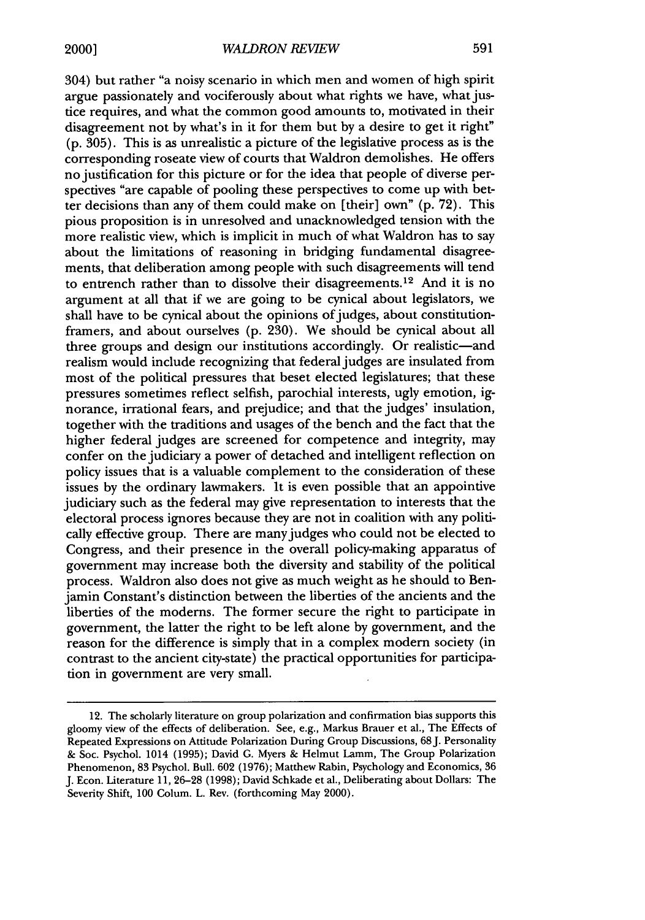304) but rather "a noisy scenario in which men and women of high spirit argue passionately and vociferously about what rights we have, what justice requires, and what the common good amounts to, motivated in their disagreement not by what's in it for them but by a desire to get it right" (p. 305). This is as unrealistic a picture of the legislative process as is the corresponding roseate view of courts that Waldron demolishes. He offers no justification for this picture or for the idea that people of diverse perspectives "are capable of pooling these perspectives to come up with better decisions than any of them could make on [their] own" (p. 72). This pious proposition is in unresolved and unacknowledged tension with the more realistic view, which is implicit in much of what Waldron has to say about the limitations of reasoning in bridging fundamental disagreements, that deliberation among people with such disagreements will tend to entrench rather than to dissolve their disagreements.<sup>12</sup> And it is no argument at all that if we are going to be cynical about legislators, we shall have to be cynical about the opinions of judges, about constitutionframers, and about ourselves (p. 230). We should be cynical about all three groups and design our institutions accordingly. Or realistic—and realism would include recognizing that federal judges are insulated from most of the political pressures that beset elected legislatures; that these pressures sometimes reflect selfish, parochial interests, ugly emotion, **ig**norance, irrational fears, and prejudice; and that the judges' insulation, together with the traditions and usages of the bench and the fact that the higher federal judges are screened for competence and integrity, may confer on the judiciary a power of detached and intelligent reflection on policy issues that is a valuable complement to the consideration of these issues by the ordinary lawmakers. It is even possible that an appointive judiciary such as the federal may give representation to interests that the electoral process ignores because they are not in coalition with any politically effective group. There are many judges who could not be elected to Congress, and their presence in the overall policy-making apparatus of government may increase both the diversity and stability of the political process. Waldron also does not give as much weight as he should to Benjamin Constant's distinction between the liberties of the ancients and the liberties of the moderns. The former secure the right to participate in government, the latter the right to be left alone by government, and the reason for the difference is simply that in a complex modem society (in contrast to the ancient city-state) the practical opportunities for participation in government are very small.

<sup>12.</sup> The scholarly literature on group polarization and confirmation bias supports this gloomy view of the effects of deliberation. See, e.g., Markus Brauer et al., The Effects of Repeated Expressions on Attitude Polarization During Group Discussions, 68J. Personality & Soc. Psychol. 1014 (1995); David **G.** Myers & Helmut Lamm, The Group Polarization Phenomenon, 83 Psychol. Bull. 602 (1976); Matthew Rabin, Psychology and Economics, 36 J. Econ. Literature 11, 26-28 (1998); David Schkade et al., Deliberating about Dollars: The Severity Shift, 100 Colum. L. Rev. (forthcoming May 2000).